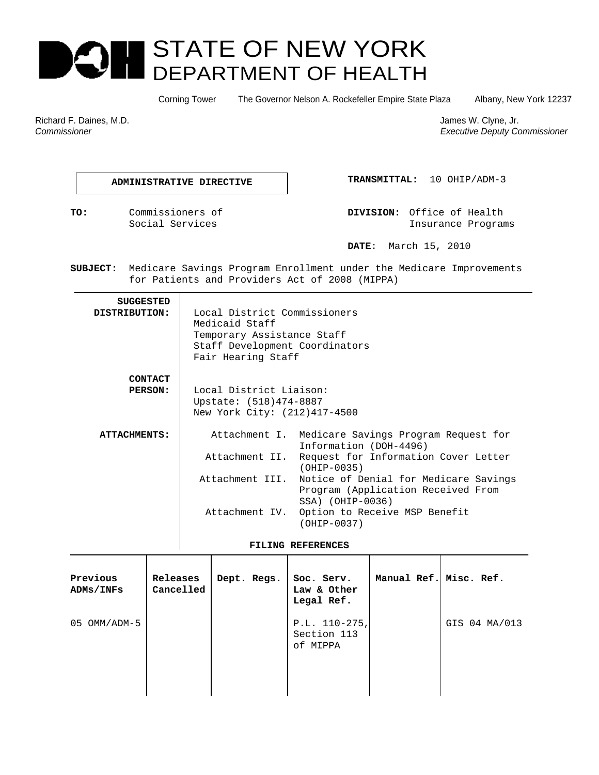# STATE OF NEW YORK E I DEPARTMENT OF HEALTH

Corning Tower The Governor Nelson A. Rockefeller Empire State Plaza Albany, New York 12237

Richard F. Daines, M.D. James W. Clyne, Jr. James W. Clyne, Jr. James W. Clyne, Jr. James W. Clyne, Jr. James W. Clyne, Jr. James W. Clyne, Jr. James W. Clyne, Jr. James W. Clyne, Jr. James W. Clyne, Jr. James W. Clyne, Jr

*Commissioner Executive Deputy Commissioner* 

 **ADMINISTRATIVE DIRECTIVE TRANSMITTAL:** 10 OHIP/ADM-3

**TO:** Commissioners of **DIVISION:** Office of Health Social Services Insurance Programs

 **DATE**: March 15, 2010

**SUBJECT:** Medicare Savings Program Enrollment under the Medicare Improvements for Patients and Providers Act of 2008 (MIPPA)

| <b>SUGGESTED</b><br>DISTRIBUTION: | Local District Commissioners<br>Medicaid Staff<br>Temporary Assistance Staff<br>Staff Development Coordinators<br>Fair Hearing Staff |                                                                                                   |  |  |  |
|-----------------------------------|--------------------------------------------------------------------------------------------------------------------------------------|---------------------------------------------------------------------------------------------------|--|--|--|
| <b>CONTACT</b>                    |                                                                                                                                      |                                                                                                   |  |  |  |
| <b>PERSON:</b>                    | Local District Liaison:<br>Upstate: (518)474-8887<br>New York City: (212)417-4500                                                    |                                                                                                   |  |  |  |
| ATTACHMENTS:                      |                                                                                                                                      | Attachment I. Medicare Savings Program Request for<br>Information (DOH-4496)                      |  |  |  |
|                                   | Attachment II.                                                                                                                       | Request for Information Cover Letter<br>$(OHIP-0035)$                                             |  |  |  |
|                                   | Attachment III.                                                                                                                      | Notice of Denial for Medicare Savings<br>Program (Application Received From<br>$SSA)$ (OHIP-0036) |  |  |  |
|                                   | Attachment IV.                                                                                                                       | Option to Receive MSP Benefit<br>$(OHIP-0037)$                                                    |  |  |  |

#### **FILING REFERENCES**

| Previous<br>ADMs/INFs | Releases<br>Cancelled | Dept. Regs. | Soc. Serv.<br>Law & Other<br>Legal Ref.    | Manual Ref. Misc. Ref. |               |
|-----------------------|-----------------------|-------------|--------------------------------------------|------------------------|---------------|
| OMM/ADM-5<br>05       |                       |             | $P.L. 110-275,$<br>Section 113<br>of MIPPA |                        | GIS 04 MA/013 |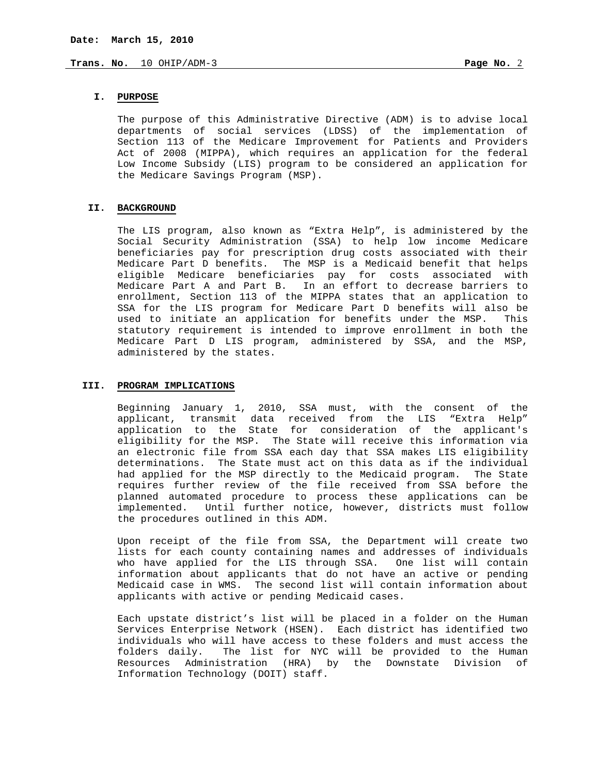# **I. PURPOSE**

The purpose of this Administrative Directive (ADM) is to advise local departments of social services (LDSS) of the implementation of Section 113 of the Medicare Improvement for Patients and Providers Act of 2008 (MIPPA), which requires an application for the federal Low Income Subsidy (LIS) program to be considered an application for the Medicare Savings Program (MSP).

#### **II. BACKGROUND**

The LIS program, also known as "Extra Help", is administered by the Social Security Administration (SSA) to help low income Medicare beneficiaries pay for prescription drug costs associated with their Medicare Part D benefits. The MSP is a Medicaid benefit that helps eligible Medicare beneficiaries pay for costs associated with Medicare Part A and Part B. In an effort to decrease barriers to enrollment, Section 113 of the MIPPA states that an application to SSA for the LIS program for Medicare Part D benefits will also be used to initiate an application for benefits under the MSP. This statutory requirement is intended to improve enrollment in both the Medicare Part D LIS program, administered by SSA, and the MSP, administered by the states.

#### **III. PROGRAM IMPLICATIONS**

Beginning January 1, 2010, SSA must, with the consent of the applicant, transmit data received from the LIS "Extra Help" application to the State for consideration of the applicant's eligibility for the MSP. The State will receive this information via an electronic file from SSA each day that SSA makes LIS eligibility determinations. The State must act on this data as if the individual had applied for the MSP directly to the Medicaid program. The State requires further review of the file received from SSA before the planned automated procedure to process these applications can be implemented. Until further notice, however, districts must follow the procedures outlined in this ADM.

Upon receipt of the file from SSA, the Department will create two lists for each county containing names and addresses of individuals who have applied for the LIS through SSA. One list will contain information about applicants that do not have an active or pending Medicaid case in WMS. The second list will contain information about applicants with active or pending Medicaid cases.

Each upstate district's list will be placed in a folder on the Human Services Enterprise Network (HSEN). Each district has identified two individuals who will have access to these folders and must access the<br>folders daily. The list for NYC will be provided to the Human The list for NYC will be provided to the Human Resources Administration (HRA) by the Downstate Division of Information Technology (DOIT) staff.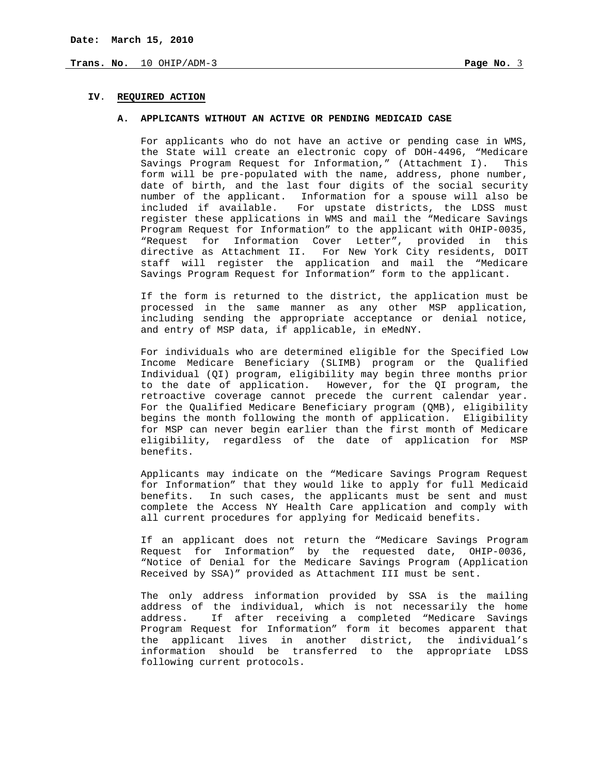## **IV**. **REQUIRED ACTION**

#### **A. APPLICANTS WITHOUT AN ACTIVE OR PENDING MEDICAID CASE**

For applicants who do not have an active or pending case in WMS, the State will create an electronic copy of DOH-4496, "Medicare Savings Program Request for Information," (Attachment I). This form will be pre-populated with the name, address, phone number, date of birth, and the last four digits of the social security number of the applicant. Information for a spouse will also be included if available. For upstate districts, the LDSS must register these applications in WMS and mail the "Medicare Savings Program Request for Information" to the applicant with OHIP-0035, "Request for Information Cover Letter", provided in this directive as Attachment II. For New York City residents, DOIT staff will register the application and mail the "Medicare Savings Program Request for Information" form to the applicant.

If the form is returned to the district, the application must be processed in the same manner as any other MSP application, including sending the appropriate acceptance or denial notice, and entry of MSP data, if applicable, in eMedNY.

For individuals who are determined eligible for the Specified Low Income Medicare Beneficiary (SLIMB) program or the Qualified Individual (QI) program, eligibility may begin three months prior to the date of application. However, for the QI program, the retroactive coverage cannot precede the current calendar year. For the Qualified Medicare Beneficiary program (QMB), eligibility begins the month following the month of application. Eligibility for MSP can never begin earlier than the first month of Medicare eligibility, regardless of the date of application for MSP benefits.

Applicants may indicate on the "Medicare Savings Program Request for Information" that they would like to apply for full Medicaid benefits. In such cases, the applicants must be sent and must complete the Access NY Health Care application and comply with all current procedures for applying for Medicaid benefits.

If an applicant does not return the "Medicare Savings Program Request for Information" by the requested date, OHIP-0036, "Notice of Denial for the Medicare Savings Program (Application Received by SSA)" provided as Attachment III must be sent.

The only address information provided by SSA is the mailing address of the individual, which is not necessarily the home address. If after receiving a completed "Medicare Savings Program Request for Information" form it becomes apparent that the applicant lives in another district, the individual's information should be transferred to the appropriate LDSS following current protocols.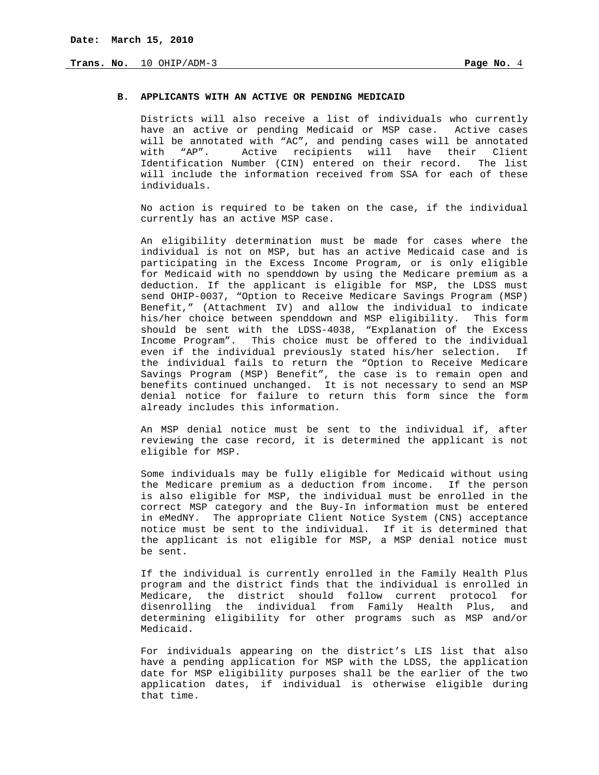#### **B. APPLICANTS WITH AN ACTIVE OR PENDING MEDICAID**

Districts will also receive a list of individuals who currently have an active or pending Medicaid or MSP case. Active cases will be annotated with "AC", and pending cases will be annotated with "AP". Active recipients will have their Client Identification Number (CIN) entered on their record. The list will include the information received from SSA for each of these individuals.

No action is required to be taken on the case, if the individual currently has an active MSP case.

An eligibility determination must be made for cases where the individual is not on MSP, but has an active Medicaid case and is participating in the Excess Income Program, or is only eligible for Medicaid with no spenddown by using the Medicare premium as a deduction. If the applicant is eligible for MSP, the LDSS must send OHIP-0037, "Option to Receive Medicare Savings Program (MSP) Benefit," (Attachment IV) and allow the individual to indicate his/her choice between spenddown and MSP eligibility. This form should be sent with the LDSS-4038, "Explanation of the Excess Income Program". This choice must be offered to the individual even if the individual previously stated his/her selection. If the individual fails to return the "Option to Receive Medicare Savings Program (MSP) Benefit", the case is to remain open and benefits continued unchanged. It is not necessary to send an MSP denial notice for failure to return this form since the form already includes this information.

An MSP denial notice must be sent to the individual if, after reviewing the case record, it is determined the applicant is not eligible for MSP.

Some individuals may be fully eligible for Medicaid without using the Medicare premium as a deduction from income. If the person is also eligible for MSP, the individual must be enrolled in the correct MSP category and the Buy-In information must be entered in eMedNY. The appropriate Client Notice System (CNS) acceptance notice must be sent to the individual. If it is determined that the applicant is not eligible for MSP, a MSP denial notice must be sent.

If the individual is currently enrolled in the Family Health Plus program and the district finds that the individual is enrolled in Medicare, the district should follow current protocol for disenrolling the individual from Family Health Plus, and determining eligibility for other programs such as MSP and/or Medicaid.

For individuals appearing on the district's LIS list that also have a pending application for MSP with the LDSS, the application date for MSP eligibility purposes shall be the earlier of the two application dates, if individual is otherwise eligible during that time.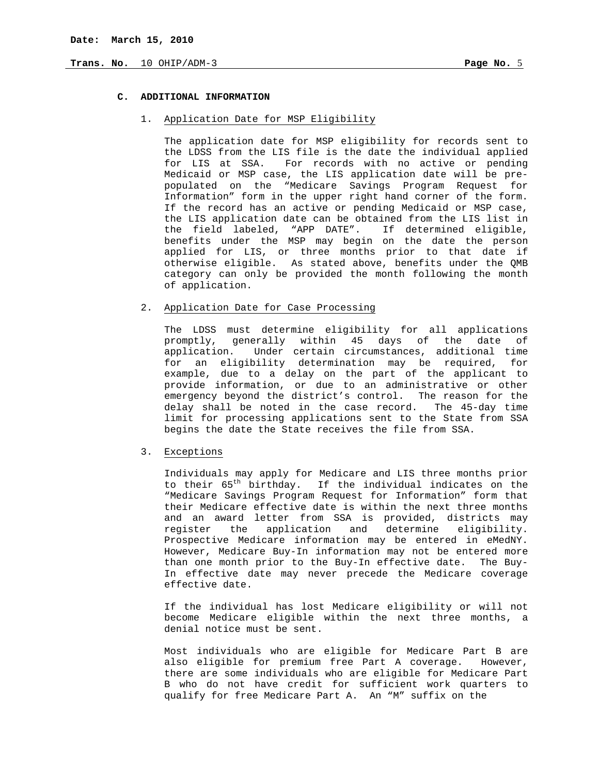# **C. ADDITIONAL INFORMATION**

## 1. Application Date for MSP Eligibility

The application date for MSP eligibility for records sent to the LDSS from the LIS file is the date the individual applied for LIS at SSA. For records with no active or pending Medicaid or MSP case, the LIS application date will be prepopulated on the "Medicare Savings Program Request for Information" form in the upper right hand corner of the form. If the record has an active or pending Medicaid or MSP case, the LIS application date can be obtained from the LIS list in the field labeled, "APP DATE". If determined eligible, benefits under the MSP may begin on the date the person applied for LIS, or three months prior to that date if otherwise eligible. As stated above, benefits under the QMB category can only be provided the month following the month of application.

### 2. Application Date for Case Processing

The LDSS must determine eligibility for all applications promptly, generally within 45 days of the date of application. Under certain circumstances, additional time for an eligibility determination may be required, for example, due to a delay on the part of the applicant to provide information, or due to an administrative or other emergency beyond the district's control. The reason for the delay shall be noted in the case record. The 45-day time limit for processing applications sent to the State from SSA begins the date the State receives the file from SSA.

## 3. Exceptions

Individuals may apply for Medicare and LIS three months prior to their 65<sup>th</sup> birthday. If the individual indicates on the "Medicare Savings Program Request for Information" form that their Medicare effective date is within the next three months and an award letter from SSA is provided, districts may register the application and determine eligibility. Prospective Medicare information may be entered in eMedNY. However, Medicare Buy-In information may not be entered more than one month prior to the Buy-In effective date. The Buy-In effective date may never precede the Medicare coverage effective date.

If the individual has lost Medicare eligibility or will not become Medicare eligible within the next three months, a denial notice must be sent.

Most individuals who are eligible for Medicare Part B are also eligible for premium free Part A coverage. However, there are some individuals who are eligible for Medicare Part B who do not have credit for sufficient work quarters to qualify for free Medicare Part A. An "M" suffix on the